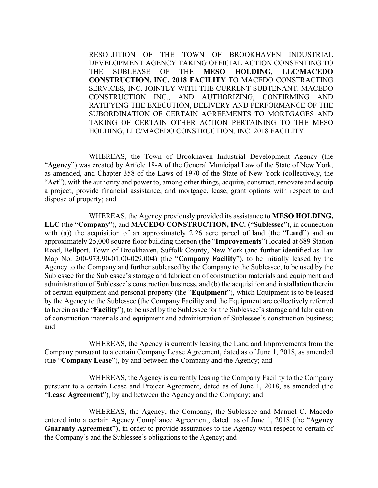RESOLUTION OF THE TOWN OF BROOKHAVEN INDUSTRIAL DEVELOPMENT AGENCY TAKING OFFICIAL ACTION CONSENTING TO THE SUBLEASE OF THE **MESO HOLDING, LLC/MACEDO CONSTRUCTION, INC. 2018 FACILITY** TO MACEDO CONSTRACTING SERVICES, INC. JOINTLY WITH THE CURRENT SUBTENANT, MACEDO CONSTRUCTION INC., AND AUTHORIZING, CONFIRMING AND RATIFYING THE EXECUTION, DELIVERY AND PERFORMANCE OF THE SUBORDINATION OF CERTAIN AGREEMENTS TO MORTGAGES AND TAKING OF CERTAIN OTHER ACTION PERTAINING TO THE MESO HOLDING, LLC/MACEDO CONSTRUCTION, INC. 2018 FACILITY.

 WHEREAS, the Town of Brookhaven Industrial Development Agency (the "**Agency**") was created by Article 18-A of the General Municipal Law of the State of New York, as amended, and Chapter 358 of the Laws of 1970 of the State of New York (collectively, the "**Act**"), with the authority and power to, among other things, acquire, construct, renovate and equip a project, provide financial assistance, and mortgage, lease, grant options with respect to and dispose of property; and

 WHEREAS, the Agency previously provided its assistance to **MESO HOLDING, LLC** (the "**Company**"), and **MACEDO CONSTRUCTION, INC.** ("**Sublessee**"), in connection with (a)) the acquisition of an approximately 2.26 acre parcel of land (the "**Land**") and an approximately 25,000 square floor building thereon (the "**Improvements**") located at 689 Station Road, Bellport, Town of Brookhaven, Suffolk County, New York (and further identified as Tax Map No. 200-973.90-01.00-029.004) (the "**Company Facility**"), to be initially leased by the Agency to the Company and further subleased by the Company to the Sublessee, to be used by the Sublessee for the Sublessee's storage and fabrication of construction materials and equipment and administration of Sublessee's construction business, and (b) the acquisition and installation therein of certain equipment and personal property (the "**Equipment**"), which Equipment is to be leased by the Agency to the Sublessee (the Company Facility and the Equipment are collectively referred to herein as the "**Facility**"), to be used by the Sublessee for the Sublessee's storage and fabrication of construction materials and equipment and administration of Sublessee's construction business; and

 WHEREAS, the Agency is currently leasing the Land and Improvements from the Company pursuant to a certain Company Lease Agreement, dated as of June 1, 2018, as amended (the "**Company Lease**"), by and between the Company and the Agency; and

 WHEREAS, the Agency is currently leasing the Company Facility to the Company pursuant to a certain Lease and Project Agreement, dated as of June 1, 2018, as amended (the "**Lease Agreement**"), by and between the Agency and the Company; and

 WHEREAS, the Agency, the Company, the Sublessee and Manuel C. Macedo entered into a certain Agency Compliance Agreement, dated as of June 1, 2018 (the "**Agency Guaranty Agreement**"), in order to provide assurances to the Agency with respect to certain of the Company's and the Sublessee's obligations to the Agency; and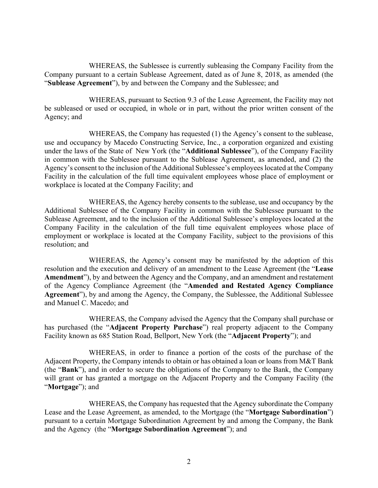WHEREAS, the Sublessee is currently subleasing the Company Facility from the Company pursuant to a certain Sublease Agreement, dated as of June 8, 2018, as amended (the "**Sublease Agreement**"), by and between the Company and the Sublessee; and

 WHEREAS, pursuant to Section 9.3 of the Lease Agreement, the Facility may not be subleased or used or occupied, in whole or in part, without the prior written consent of the Agency; and

 WHEREAS, the Company has requested (1) the Agency's consent to the sublease, use and occupancy by Macedo Constructing Service, Inc., a corporation organized and existing under the laws of the State of New York (the "**Additional Sublessee**"), of the Company Facility in common with the Sublessee pursuant to the Sublease Agreement, as amended, and (2) the Agency's consent to the inclusion of the Additional Sublessee's employees located at the Company Facility in the calculation of the full time equivalent employees whose place of employment or workplace is located at the Company Facility; and

WHEREAS, the Agency hereby consents to the sublease, use and occupancy by the Additional Sublessee of the Company Facility in common with the Sublessee pursuant to the Sublease Agreement, and to the inclusion of the Additional Sublessee's employees located at the Company Facility in the calculation of the full time equivalent employees whose place of employment or workplace is located at the Company Facility, subject to the provisions of this resolution; and

WHEREAS, the Agency's consent may be manifested by the adoption of this resolution and the execution and delivery of an amendment to the Lease Agreement (the "**Lease Amendment**"), by and between the Agency and the Company, and an amendment and restatement of the Agency Compliance Agreement (the "**Amended and Restated Agency Compliance Agreement**"), by and among the Agency, the Company, the Sublessee, the Additional Sublessee and Manuel C. Macedo; and

 WHEREAS, the Company advised the Agency that the Company shall purchase or has purchased (the "**Adjacent Property Purchase**") real property adjacent to the Company Facility known as 685 Station Road, Bellport, New York (the "**Adjacent Property**"); and

 WHEREAS, in order to finance a portion of the costs of the purchase of the Adjacent Property, the Company intends to obtain or has obtained a loan or loans from M&T Bank (the "**Bank**"), and in order to secure the obligations of the Company to the Bank, the Company will grant or has granted a mortgage on the Adjacent Property and the Company Facility (the "**Mortgage**"); and

 WHEREAS, the Company has requested that the Agency subordinate the Company Lease and the Lease Agreement, as amended, to the Mortgage (the "**Mortgage Subordination**") pursuant to a certain Mortgage Subordination Agreement by and among the Company, the Bank and the Agency (the "**Mortgage Subordination Agreement**"); and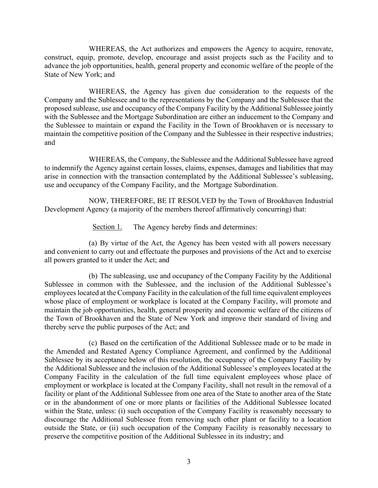WHEREAS, the Act authorizes and empowers the Agency to acquire, renovate, construct, equip, promote, develop, encourage and assist projects such as the Facility and to advance the job opportunities, health, general property and economic welfare of the people of the State of New York; and

 WHEREAS, the Agency has given due consideration to the requests of the Company and the Sublessee and to the representations by the Company and the Sublessee that the proposed sublease, use and occupancy of the Company Facility by the Additional Sublessee jointly with the Sublessee and the Mortgage Subordination are either an inducement to the Company and the Sublessee to maintain or expand the Facility in the Town of Brookhaven or is necessary to maintain the competitive position of the Company and the Sublessee in their respective industries; and

WHEREAS, the Company, the Sublessee and the Additional Sublessee have agreed to indemnify the Agency against certain losses, claims, expenses, damages and liabilities that may arise in connection with the transaction contemplated by the Additional Sublessee's subleasing, use and occupancy of the Company Facility, and the Mortgage Subordination.

 NOW, THEREFORE, BE IT RESOLVED by the Town of Brookhaven Industrial Development Agency (a majority of the members thereof affirmatively concurring) that:

Section 1. The Agency hereby finds and determines:

(a) By virtue of the Act, the Agency has been vested with all powers necessary and convenient to carry out and effectuate the purposes and provisions of the Act and to exercise all powers granted to it under the Act; and

(b) The subleasing, use and occupancy of the Company Facility by the Additional Sublessee in common with the Sublessee, and the inclusion of the Additional Sublessee's employees located at the Company Facility in the calculation of the full time equivalent employees whose place of employment or workplace is located at the Company Facility, will promote and maintain the job opportunities, health, general prosperity and economic welfare of the citizens of the Town of Brookhaven and the State of New York and improve their standard of living and thereby serve the public purposes of the Act; and

(c) Based on the certification of the Additional Sublessee made or to be made in the Amended and Restated Agency Compliance Agreement, and confirmed by the Additional Sublessee by its acceptance below of this resolution, the occupancy of the Company Facility by the Additional Sublessee and the inclusion of the Additional Sublessee's employees located at the Company Facility in the calculation of the full time equivalent employees whose place of employment or workplace is located at the Company Facility, shall not result in the removal of a facility or plant of the Additional Sublessee from one area of the State to another area of the State or in the abandonment of one or more plants or facilities of the Additional Sublessee located within the State, unless: (i) such occupation of the Company Facility is reasonably necessary to discourage the Additional Sublessee from removing such other plant or facility to a location outside the State, or (ii) such occupation of the Company Facility is reasonably necessary to preserve the competitive position of the Additional Sublessee in its industry; and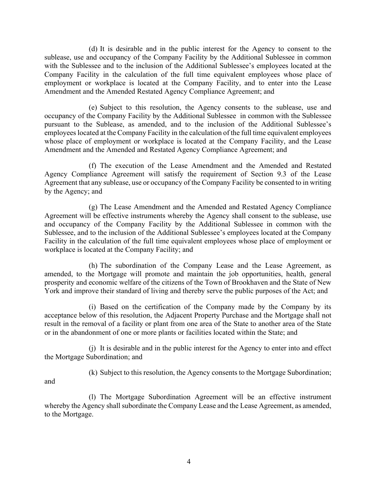(d) It is desirable and in the public interest for the Agency to consent to the sublease, use and occupancy of the Company Facility by the Additional Sublessee in common with the Sublessee and to the inclusion of the Additional Sublessee's employees located at the Company Facility in the calculation of the full time equivalent employees whose place of employment or workplace is located at the Company Facility, and to enter into the Lease Amendment and the Amended Restated Agency Compliance Agreement; and

(e) Subject to this resolution, the Agency consents to the sublease, use and occupancy of the Company Facility by the Additional Sublessee in common with the Sublessee pursuant to the Sublease, as amended, and to the inclusion of the Additional Sublessee's employees located at the Company Facility in the calculation of the full time equivalent employees whose place of employment or workplace is located at the Company Facility, and the Lease Amendment and the Amended and Restated Agency Compliance Agreement; and

(f) The execution of the Lease Amendment and the Amended and Restated Agency Compliance Agreement will satisfy the requirement of Section 9.3 of the Lease Agreement that any sublease, use or occupancy of the Company Facility be consented to in writing by the Agency; and

(g) The Lease Amendment and the Amended and Restated Agency Compliance Agreement will be effective instruments whereby the Agency shall consent to the sublease, use and occupancy of the Company Facility by the Additional Sublessee in common with the Sublessee, and to the inclusion of the Additional Sublessee's employees located at the Company Facility in the calculation of the full time equivalent employees whose place of employment or workplace is located at the Company Facility; and

(h) The subordination of the Company Lease and the Lease Agreement, as amended, to the Mortgage will promote and maintain the job opportunities, health, general prosperity and economic welfare of the citizens of the Town of Brookhaven and the State of New York and improve their standard of living and thereby serve the public purposes of the Act; and

(i) Based on the certification of the Company made by the Company by its acceptance below of this resolution, the Adjacent Property Purchase and the Mortgage shall not result in the removal of a facility or plant from one area of the State to another area of the State or in the abandonment of one or more plants or facilities located within the State; and

(j) It is desirable and in the public interest for the Agency to enter into and effect the Mortgage Subordination; and

(k) Subject to this resolution, the Agency consents to the Mortgage Subordination;

and

(l) The Mortgage Subordination Agreement will be an effective instrument whereby the Agency shall subordinate the Company Lease and the Lease Agreement, as amended, to the Mortgage.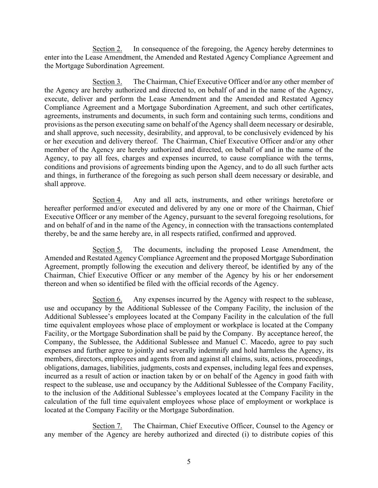Section 2. In consequence of the foregoing, the Agency hereby determines to enter into the Lease Amendment, the Amended and Restated Agency Compliance Agreement and the Mortgage Subordination Agreement.

Section 3. The Chairman, Chief Executive Officer and/or any other member of the Agency are hereby authorized and directed to, on behalf of and in the name of the Agency, execute, deliver and perform the Lease Amendment and the Amended and Restated Agency Compliance Agreement and a Mortgage Subordination Agreement, and such other certificates, agreements, instruments and documents, in such form and containing such terms, conditions and provisions as the person executing same on behalf of the Agency shall deem necessary or desirable, and shall approve, such necessity, desirability, and approval, to be conclusively evidenced by his or her execution and delivery thereof. The Chairman, Chief Executive Officer and/or any other member of the Agency are hereby authorized and directed, on behalf of and in the name of the Agency, to pay all fees, charges and expenses incurred, to cause compliance with the terms, conditions and provisions of agreements binding upon the Agency, and to do all such further acts and things, in furtherance of the foregoing as such person shall deem necessary or desirable, and shall approve.

Section 4. Any and all acts, instruments, and other writings heretofore or hereafter performed and/or executed and delivered by any one or more of the Chairman, Chief Executive Officer or any member of the Agency, pursuant to the several foregoing resolutions, for and on behalf of and in the name of the Agency, in connection with the transactions contemplated thereby, be and the same hereby are, in all respects ratified, confirmed and approved.

Section 5. The documents, including the proposed Lease Amendment, the Amended and Restated Agency Compliance Agreement and the proposed Mortgage Subordination Agreement, promptly following the execution and delivery thereof, be identified by any of the Chairman, Chief Executive Officer or any member of the Agency by his or her endorsement thereon and when so identified be filed with the official records of the Agency.

Section 6. Any expenses incurred by the Agency with respect to the sublease, use and occupancy by the Additional Sublessee of the Company Facility, the inclusion of the Additional Sublessee's employees located at the Company Facility in the calculation of the full time equivalent employees whose place of employment or workplace is located at the Company Facility, or the Mortgage Subordination shall be paid by the Company. By acceptance hereof, the Company, the Sublessee, the Additional Sublessee and Manuel C. Macedo, agree to pay such expenses and further agree to jointly and severally indemnify and hold harmless the Agency, its members, directors, employees and agents from and against all claims, suits, actions, proceedings, obligations, damages, liabilities, judgments, costs and expenses, including legal fees and expenses, incurred as a result of action or inaction taken by or on behalf of the Agency in good faith with respect to the sublease, use and occupancy by the Additional Sublessee of the Company Facility, to the inclusion of the Additional Sublessee's employees located at the Company Facility in the calculation of the full time equivalent employees whose place of employment or workplace is located at the Company Facility or the Mortgage Subordination.

Section 7. The Chairman, Chief Executive Officer, Counsel to the Agency or any member of the Agency are hereby authorized and directed (i) to distribute copies of this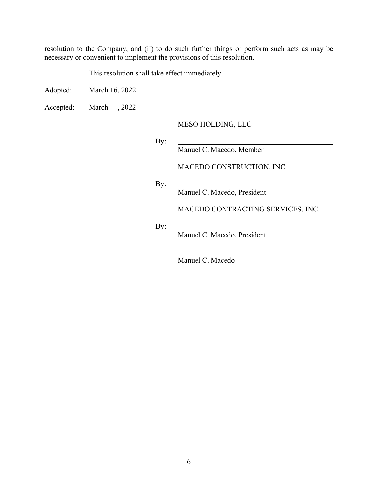resolution to the Company, and (ii) to do such further things or perform such acts as may be necessary or convenient to implement the provisions of this resolution.

This resolution shall take effect immediately.

Adopted: March 16, 2022

Accepted: March \_\_, 2022

MESO HOLDING, LLC

By:

Manuel C. Macedo, Member

MACEDO CONSTRUCTION, INC.

By:

Manuel C. Macedo, President

MACEDO CONTRACTING SERVICES, INC.

By:

Manuel C. Macedo, President

Manuel C. Macedo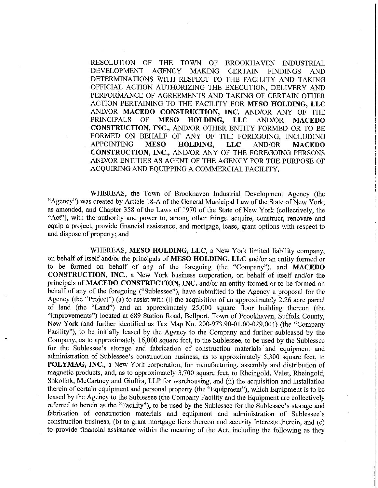RESOLUTION OF THE TOWN OF **BROOKHAVEN INDUSTRIAL DEVELOPMENT AGENCY MAKING CERTAIN FINDINGS AND** DETERMINATIONS WITH RESPECT TO THE FACILITY AND TAKING OFFICIAL ACTION AUTHORIZING THE EXECUTION, DELIVERY AND PERFORMANCE OF AGREEMENTS AND TAKING OF CERTAIN OTHER ACTION PERTAINING TO THE FACILITY FOR MESO HOLDING, LLC AND/OR MACEDO CONSTRUCTION, INC. AND/OR ANY OF THE **PRINCIPALS** OF **MESO** HOLDING, LLC **AND/OR MACEDO** CONSTRUCTION, INC., AND/OR OTHER ENTITY FORMED OR TO BE FORMED ON BEHALF OF ANY OF THE FOREGOING, INCLUDING **APPOINTING MESO** HOLDING, **LLC** AND/OR **MACEDO** CONSTRUCTION, INC., AND/OR ANY OF THE FOREGOING PERSONS AND/OR ENTITIES AS AGENT OF THE AGENCY FOR THE PURPOSE OF ACQUIRING AND EQUIPPING A COMMERCIAL FACILITY.

WHEREAS, the Town of Brookhaven Industrial Development Agency (the "Agency") was created by Article 18-A of the General Municipal Law of the State of New York. as amended, and Chapter 358 of the Laws of 1970 of the State of New York (collectively, the "Act"), with the authority and power to, among other things, acquire, construct, renovate and equip a project, provide financial assistance, and mortgage, lease, grant options with respect to and dispose of property; and

WHEREAS, MESO HOLDING, LLC, a New York limited liability company, on behalf of itself and/or the principals of MESO HOLDING, LLC and/or an entity formed or to be formed on behalf of any of the foregoing (the "Company"), and MACEDO CONSTRUCTION, INC., a New York business corporation, on behalf of itself and/or the principals of MACEDO CONSTRUCTION, INC. and/or an entity formed or to be formed on behalf of any of the foregoing ("Sublessee"), have submitted to the Agency a proposal for the Agency (the "Project") (a) to assist with (i) the acquisition of an approximately 2.26 acre parcel of land (the "Land") and an approximately 25,000 square floor building thereon (the "Improvements") located at 689 Station Road, Bellport, Town of Brookhaven, Suffolk County, New York (and further identified as Tax Map No. 200-973.90-01.00-029.004) (the "Company Facility"), to be initially leased by the Agency to the Company and further subleased by the Company, as to approximately 16,000 square feet, to the Sublessee, to be used by the Sublessee for the Sublessee's storage and fabrication of construction materials and equipment and administration of Sublessee's construction business, as to approximately 5,300 square feet, to POLYMAG, INC., a New York corporation, for manufacturing, assembly and distribution of magnetic products, and, as to approximately 3,700 square feet, to Rheingold, Valet, Rheingold, Shkolink, McCartney and Giuffra, LLP for warehousing, and (ii) the acquisition and installation therein of certain equipment and personal property (the "Equipment"), which Equipment is to be leased by the Agency to the Sublessee (the Company Facility and the Equipment are collectively referred to herein as the "Facility"), to be used by the Sublessee for the Sublessee's storage and fabrication of construction materials and equipment and administration of Sublessee's construction business, (b) to grant mortgage liens thereon and security interests therein, and (c) to provide financial assistance within the meaning of the Act, including the following as they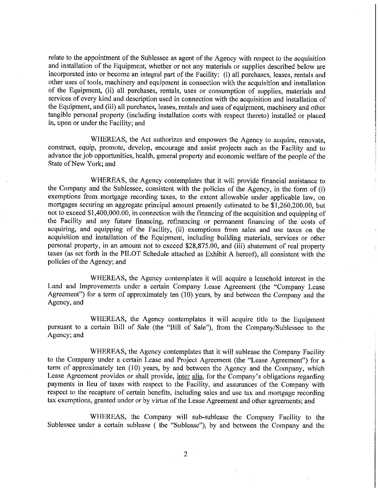relate to the appointment of the Sublessee as agent of the Agency with respect to the acquisition and installation of the Equipment, whether or not any materials or supplies described below are incorporated into or become an integral part of the Facility: (i) all purchases, leases, rentals and other uses of tools, machinery and equipment in connection with the acquisition and installation of the Equipment, (ii) all purchases, rentals, uses or consumption of supplies, materials and services of every kind and description used in connection with the acquisition and installation of the Equipment, and (iii) all purchases, leases, rentals and uses of equipment, machinery and other tangible personal property (including installation costs with respect thereto) installed or placed in, upon or under the Facility; and

WHEREAS, the Act authorizes and empowers the Agency to acquire, renovate, construct, equip, promote, develop, encourage and assist projects such as the Facility and to advance the job opportunities, health, general property and economic welfare of the people of the State of New York; and

WHEREAS, the Agency contemplates that it will provide financial assistance to the Company and the Sublessee, consistent with the policies of the Agency, in the form of (i) exemptions from mortgage recording taxes, to the extent allowable under applicable law, on mortgages securing an aggregate principal amount presently estimated to be \$1,260,200.00, but not to exceed \$1,400,000.00, in connection with the financing of the acquisition and equipping of the Facility and any future financing, refinancing or permanent financing of the costs of acquiring, and equipping of the Facility, (ii) exemptions from sales and use taxes on the acquisition and installation of the Equipment, including building materials, services or other personal property, in an amount not to exceed \$28,875.00, and (iii) abatement of real property taxes (as set forth in the PILOT Schedule attached as Exhibit A hereof), all consistent with the policies of the Agency; and

WHEREAS, the Agency contemplates it will acquire a leasehold interest in the Land and Improvements under a certain Company Lease Agreement (the "Company Lease Agreement") for a term of approximately ten (10) years, by and between the Company and the Agency, and

WHEREAS, the Agency contemplates it will acquire title to the Equipment pursuant to a certain Bill of Sale (the "Bill of Sale"), from the Company/Sublessee to the Agency; and

WHEREAS, the Agency contemplates that it will sublease the Company Facility to the Company under a certain Lease and Project Agreement (the "Lease Agreement") for a term of approximately ten (10) years, by and between the Agency and the Company, which Lease Agreement provides or shall provide, inter alia, for the Company's obligations regarding payments in lieu of taxes with respect to the Facility, and assurances of the Company with respect to the recapture of certain benefits, including sales and use tax and mortgage recording tax exemptions, granted under or by virtue of the Lease Agreement and other agreements; and

WHEREAS, the Company will sub-sublease the Company Facility to the Sublessee under a certain sublease (the "Sublease"), by and between the Company and the

 $\overline{2}$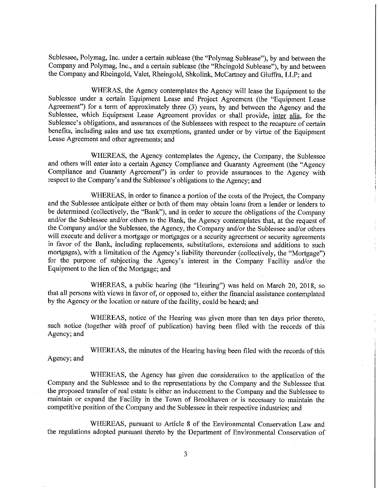Sublessee, Polymag, Inc. under a certain sublease (the "Polymag Sublease"), by and between the Company and Polymag, Inc., and a certain sublease (the "Rheingold Sublease"), by and between the Company and Rheingold, Valet, Rheingold, Shkolink, McCartney and Giuffra, LLP; and

WHERAS, the Agency contemplates the Agency will lease the Equipment to the Sublessee under a certain Equipment Lease and Project Agreement (the "Equipment Lease Agreement") for a term of approximately three (3) years, by and between the Agency and the Sublessee, which Equipment Lease Agreement provides or shall provide, inter alia, for the Sublessee's obligations, and assurances of the Sublessees with respect to the recapture of certain benefits, including sales and use tax exemptions, granted under or by virtue of the Equipment Lease Agreement and other agreements; and

WHEREAS, the Agency contemplates the Agency, the Company, the Sublessee and others will enter into a certain Agency Compliance and Guaranty Agreement (the "Agency Compliance and Guaranty Agreement") in order to provide assurances to the Agency with respect to the Company's and the Sublessee's obligations to the Agency; and

WHEREAS, in order to finance a portion of the costs of the Project, the Company and the Sublessee anticipate either or both of them may obtain loans from a lender or lenders to be determined (collectively, the "Bank"), and in order to secure the obligations of the Company and/or the Sublessee and/or others to the Bank, the Agency contemplates that, at the request of the Company and/or the Sublessee, the Agency, the Company and/or the Sublessee and/or others will execute and deliver a mortgage or mortgages or a security agreement or security agreements in favor of the Bank, including replacements, substitutions, extensions and additions to such mortgages), with a limitation of the Agency's liability thereunder (collectively, the "Mortgage") for the purpose of subjecting the Agency's interest in the Company Facility and/or the Equipment to the lien of the Mortgage; and

WHEREAS, a public hearing (the "Hearing") was held on March 20, 2018, so that all persons with views in favor of, or opposed to, either the financial assistance contemplated by the Agency or the location or nature of the facility, could be heard; and

WHEREAS, notice of the Hearing was given more than ten days prior thereto, such notice (together with proof of publication) having been filed with the records of this Agency; and

WHEREAS, the minutes of the Hearing having been filed with the records of this Agency; and

WHEREAS, the Agency has given due consideration to the application of the Company and the Sublessee and to the representations by the Company and the Sublessee that the proposed transfer of real estate is either an inducement to the Company and the Sublessee to maintain or expand the Facility in the Town of Brookhaven or is necessary to maintain the competitive position of the Company and the Sublessee in their respective industries; and

WHEREAS, pursuant to Article 8 of the Environmental Conservation Law and the regulations adopted pursuant thereto by the Department of Environmental Conservation of

3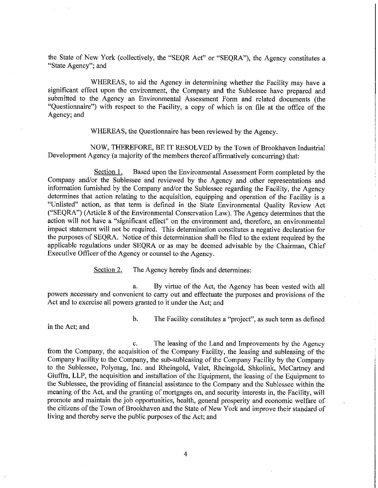the State of New York (collectively, the "SEQR Act" or "SEQRA"), the Agency constitutes a "State Agency"; and

WHEREAS, to aid the Agency in determining whether the Facility may have a significant effect upon the environment, the Company and the Sublessee have prepared and submitted to the Agency an Environmental Assessment Form and related documents (the "Questionnaire") with respect to the Facility, a copy of which is on file at the office of the Agency; and

WHEREAS, the Questionnaire has been reviewed by the Agency.

NOW, THEREFORE, BE IT RESOLVED by the Town of Brookhaven Industrial Development Agency (a majority of the members thereof affirmatively concurring) that:

Section 1. Based upon the Environmental Assessment Form completed by the Company and/or the Sublessee and reviewed by the Agency and other representations and information furnished by the Company and/or the Sublessee regarding the Facility, the Agency determines that action relating to the acquisition, equipping and operation of the Facility is a "Unlisted" action, as that term is defined in the State Environmental Quality Review Act ("SEQRA") (Article 8 of the Environmental Conservation Law). The Agency determines that the action will not have a "significant effect" on the environment and, therefore, an environmental impact statement will not be required. This determination constitutes a negative declaration for the purposes of SEQRA. Notice of this determination shall be filed to the extent required by the applicable regulations under SEQRA or as may be deemed advisable by the Chairman, Chief Executive Officer of the Agency or counsel to the Agency.

> Section 2. The Agency hereby finds and determines:

a. By virtue of the Act, the Agency has been vested with all powers necessary and convenient to carry out and effectuate the purposes and provisions of the Act and to exercise all powers granted to it under the Act; and

in the Act; and

 $\mathbf{b}$ . The Facility constitutes a "project", as such term as defined

The leasing of the Land and Improvements by the Agency c. from the Company, the acquisition of the Company Facility, the leasing and subleasing of the Company Facility to the Company, the sub-subleasing of the Company Facility by the Company to the Sublessee, Polymag, Inc. and Rheingold, Valet, Rheingold, Shkolink, McCartney and Giuffra, LLP, the acquisition and installation of the Equipment, the leasing of the Equipment to the Sublessee, the providing of financial assistance to the Company and the Sublessee within the meaning of the Act, and the granting of mortgages on, and security interests in, the Facility, will promote and maintain the job opportunities, health, general prosperity and economic welfare of the citizens of the Town of Brookhaven and the State of New York and improve their standard of living and thereby serve the public purposes of the Act; and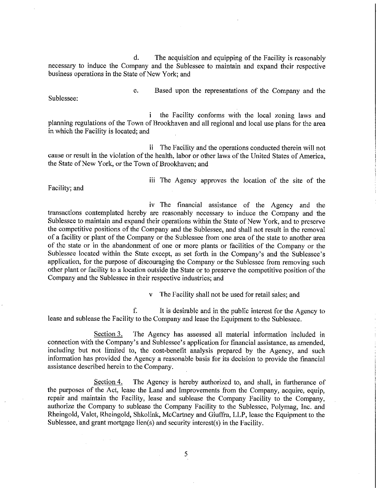d. The acquisition and equipping of the Facility is reasonably necessary to induce the Company and the Sublessee to maintain and expand their respective business operations in the State of New York; and

Sublessee:

Based upon the representations of the Company and the e.

the Facility conforms with the local zoning laws and i planning regulations of the Town of Brookhaven and all regional and local use plans for the area in which the Facility is located; and

ii The Facility and the operations conducted therein will not cause or result in the violation of the health, labor or other laws of the United States of America, the State of New York, or the Town of Brookhaven; and

Facility; and

iii The Agency approves the location of the site of the

iv The financial assistance of the Agency and the transactions contemplated hereby are reasonably necessary to induce the Company and the Sublessee to maintain and expand their operations within the State of New York, and to preserve the competitive positions of the Company and the Sublessee, and shall not result in the removal of a facility or plant of the Company or the Sublessee from one area of the state to another area of the state or in the abandonment of one or more plants or facilities of the Company or the Sublessee located within the State except, as set forth in the Company's and the Sublessee's application, for the purpose of discouraging the Company or the Sublessee from removing such other plant or facility to a location outside the State or to preserve the competitive position of the Company and the Sublessee in their respective industries; and

The Facility shall not be used for retail sales; and

f. It is desirable and in the public interest for the Agency to lease and sublease the Facility to the Company and lease the Equipment to the Sublessee.

Section 3. The Agency has assessed all material information included in connection with the Company's and Sublessee's application for financial assistance, as amended, including but not limited to, the cost-benefit analysis prepared by the Agency, and such information has provided the Agency a reasonable basis for its decision to provide the financial assistance described herein to the Company.

The Agency is hereby authorized to, and shall, in furtherance of Section 4. the purposes of the Act, lease the Land and Improvements from the Company, acquire, equip, repair and maintain the Facility, lease and sublease the Company Facility to the Company, authorize the Company to sublease the Company Facility to the Sublessee, Polymag, Inc. and Rheingold, Valet, Rheingold, Shkolink, McCartney and Giuffra, LLP, lease the Equipment to the Sublessee, and grant mortgage lien(s) and security interest(s) in the Facility.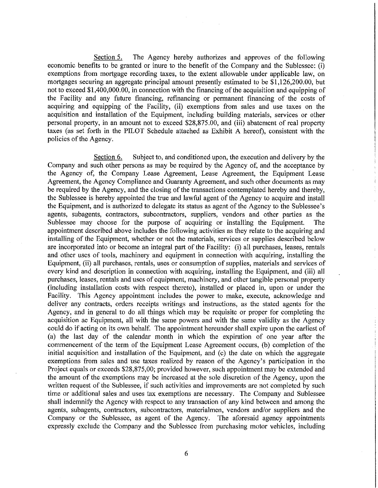Section 5. The Agency hereby authorizes and approves of the following economic benefits to be granted or inure to the benefit of the Company and the Sublessee: (i) exemptions from mortgage recording taxes, to the extent allowable under applicable law, on mortgages securing an aggregate principal amount presently estimated to be  $\overline{\$1,126,200,00,}$  but not to exceed \$1,400,000.00, in connection with the financing of the acquisition and equipping of the Facility and any future financing, refinancing or permanent financing of the costs of acquiring and equipping of the Facility, (ii) exemptions from sales and use taxes on the acquisition and installation of the Equipment, including building materials, services or other personal property, in an amount not to exceed \$28,875.00, and (iii) abatement of real property taxes (as set forth in the PILOT Schedule attached as Exhibit A hereof), consistent with the policies of the Agency.

Section 6. Subject to, and conditioned upon, the execution and delivery by the Company and such other persons as may be required by the Agency of, and the acceptance by the Agency of, the Company Lease Agreement, Lease Agreement, the Equipment Lease Agreement, the Agency Compliance and Guaranty Agreement, and such other documents as may be required by the Agency, and the closing of the transactions contemplated hereby and thereby, the Sublessee is hereby appointed the true and lawful agent of the Agency to acquire and install the Equipment, and is authorized to delegate its status as agent of the Agency to the Sublessee's agents, subagents, contractors, subcontractors, suppliers, vendors and other parties as the Sublessee may choose for the purpose of acquiring or installing the Equipment. The appointment described above includes the following activities as they relate to the acquiring and installing of the Equipment, whether or not the materials, services or supplies described below are incorporated into or become an integral part of the Facility: (i) all purchases, leases, rentals and other uses of tools, machinery and equipment in connection with acquiring, installing the Equipment, (ii) all purchases, rentals, uses or consumption of supplies, materials and services of every kind and description in connection with acquiring, installing the Equipment, and (iii) all purchases, leases, rentals and uses of equipment, machinery, and other tangible personal property (including installation costs with respect thereto), installed or placed in, upon or under the Facility. This Agency appointment includes the power to make, execute, acknowledge and deliver any contracts, orders receipts writings and instructions, as the stated agents for the Agency, and in general to do all things which may be requisite or proper for completing the acquisition ae Equipment, all with the same powers and with the same validity as the Agency could do if acting on its own behalf. The appointment hereunder shall expire upon the earliest of (a) the last day of the calendar month in which the expiration of one year after the commencement of the term of the Equipment Lease Agreement occurs, (b) completion of the initial acquisition and installation of the Equipment, and (c) the date on which the aggregate exemptions from sales and use taxes realized by reason of the Agency's participation in the Project equals or exceeds \$28,875,00; provided however, such appointment may be extended and the amount of the exemptions may be increased at the sole discretion of the Agency, upon the written request of the Sublessee, if such activities and improvements are not completed by such time or additional sales and uses tax exemptions are necessary. The Company and Sublessee shall indemnify the Agency with respect to any transaction of any kind between and among the agents, subagents, contractors, subcontractors, materialmen, vendors and/or suppliers and the Company or the Sublessee, as agent of the Agency. The aforesaid agency appointments expressly exclude the Company and the Sublessee from purchasing motor vehicles, including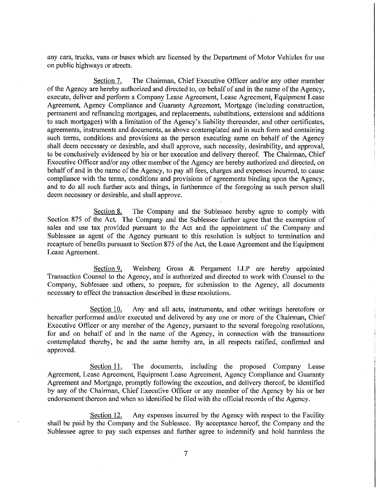any cars, trucks, vans or buses which are licensed by the Department of Motor Vehicles for use on public highways or streets.

Section 7. The Chairman, Chief Executive Officer and/or any other member of the Agency are hereby authorized and directed to, on behalf of and in the name of the Agency, execute, deliver and perform a Company Lease Agreement, Lease Agreement, Equipment Lease Agreement, Agency Compliance and Guaranty Agreement, Mortgage (including construction, permanent and refinancing mortgages, and replacements, substitutions, extensions and additions to such mortgages) with a limitation of the Agency's liability thereunder, and other certificates, agreements, instruments and documents, as above contemplated and in such form and containing such terms, conditions and provisions as the person executing same on behalf of the Agency shall deem necessary or desirable, and shall approve, such necessity, desirability, and approval, to be conclusively evidenced by his or her execution and delivery thereof. The Chairman, Chief Executive Officer and/or any other member of the Agency are hereby authorized and directed, on behalf of and in the name of the Agency, to pay all fees, charges and expenses incurred, to cause compliance with the terms, conditions and provisions of agreements binding upon the Agency, and to do all such further acts and things, in furtherance of the foregoing as such person shall deem necessary or desirable, and shall approve.

The Company and the Sublessee hereby agree to comply with Section 8. Section 875 of the Act. The Company and the Sublessee further agree that the exemption of sales and use tax provided pursuant to the Act and the appointment of the Company and Sublessee as agent of the Agency pursuant to this resolution is subject to termination and recapture of benefits pursuant to Section 875 of the Act, the Lease Agreement and the Equipment Lease Agreement.

Section 9. Weinberg Gross & Pergament LLP are hereby appointed Transaction Counsel to the Agency, and is authorized and directed to work with Counsel to the Company, Sublessee and others, to prepare, for submission to the Agency, all documents necessary to effect the transaction described in these resolutions.

Any and all acts, instruments, and other writings heretofore or Section 10. hereafter performed and/or executed and delivered by any one or more of the Chairman, Chief Executive Officer or any member of the Agency, pursuant to the several foregoing resolutions, for and on behalf of and in the name of the Agency, in connection with the transactions contemplated thereby, be and the same hereby are, in all respects ratified, confirmed and approved.

The documents, including the proposed Company Lease Section 11. Agreement, Lease Agreement, Equipment Lease Agreement, Agency Compliance and Guaranty Agreement and Mortgage, promptly following the execution, and delivery thereof, be identified by any of the Chairman, Chief Executive Officer or any member of the Agency by his or her endorsement thereon and when so identified be filed with the official records of the Agency.

Any expenses incurred by the Agency with respect to the Facility Section 12. shall be paid by the Company and the Sublessee. By acceptance hereof, the Company and the Sublessee agree to pay such expenses and further agree to indemnify and hold harmless the

7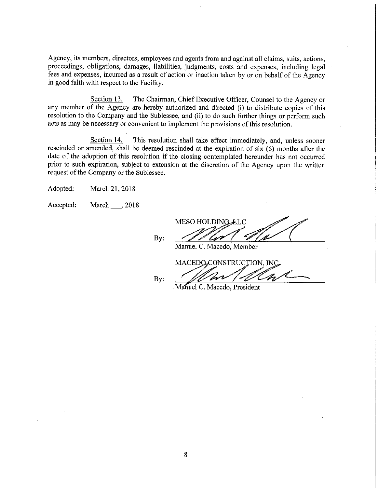Agency, its members, directors, employees and agents from and against all claims, suits, actions, proceedings, obligations, damages, liabilities, judgments, costs and expenses, including legal fees and expenses, incurred as a result of action or inaction taken by or on behalf of the Agency in good faith with respect to the Facility.

Section 13. The Chairman, Chief Executive Officer, Counsel to the Agency or any member of the Agency are hereby authorized and directed (i) to distribute copies of this resolution to the Company and the Sublessee, and (ii) to do such further things or perform such acts as may be necessary or convenient to implement the provisions of this resolution.

Section 14. This resolution shall take effect immediately, and, unless sooner rescinded or amended, shall be deemed rescinded at the expiration of six (6) months after the date of the adoption of this resolution if the closing contemplated hereunder has not occurred prior to such expiration, subject to extension at the discretion of the Agency upon the written request of the Company or the Sublessee.

Adopted: March 21, 2018

March \_\_\_\_, 2018 Accepted:

By:

MESO HOLDING LLC

Manuel C. Macedo, Member

MACEDO, CONSTRUCTION, INC

By:

Manuel C. Macedo, President